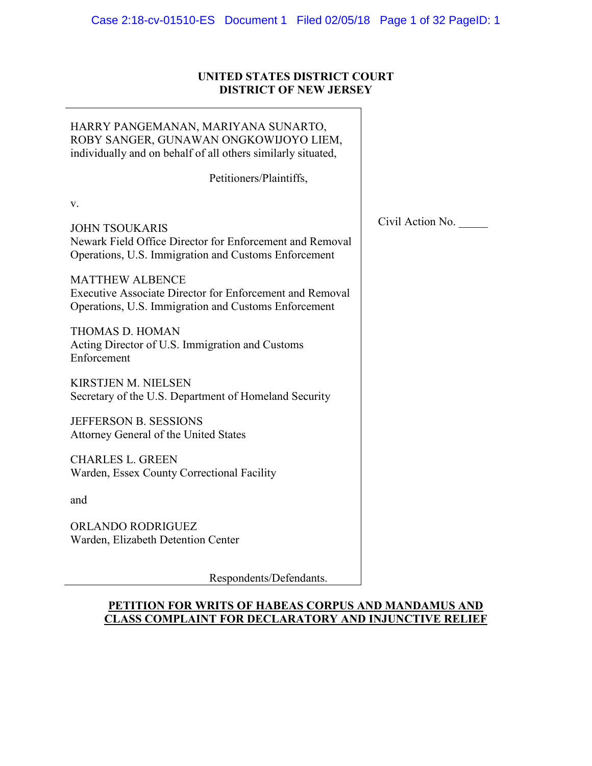# **UNITED STATES DISTRICT COURT DISTRICT OF NEW JERSEY**

| HARRY PANGEMANAN, MARIYANA SUNARTO,<br>ROBY SANGER, GUNAWAN ONGKOWIJOYO LIEM,<br>individually and on behalf of all others similarly situated, |                  |
|-----------------------------------------------------------------------------------------------------------------------------------------------|------------------|
| Petitioners/Plaintiffs,                                                                                                                       |                  |
| V.                                                                                                                                            |                  |
| <b>JOHN TSOUKARIS</b><br>Newark Field Office Director for Enforcement and Removal<br>Operations, U.S. Immigration and Customs Enforcement     | Civil Action No. |
| <b>MATTHEW ALBENCE</b><br>Executive Associate Director for Enforcement and Removal<br>Operations, U.S. Immigration and Customs Enforcement    |                  |
| THOMAS D. HOMAN<br>Acting Director of U.S. Immigration and Customs<br>Enforcement                                                             |                  |
| <b>KIRSTJEN M. NIELSEN</b><br>Secretary of the U.S. Department of Homeland Security                                                           |                  |
| <b>JEFFERSON B. SESSIONS</b><br>Attorney General of the United States                                                                         |                  |
| <b>CHARLES L. GREEN</b><br>Warden, Essex County Correctional Facility                                                                         |                  |
| and                                                                                                                                           |                  |
| <b>ORLANDO RODRIGUEZ</b><br>Warden, Elizabeth Detention Center                                                                                |                  |
| Respondents/Defendants.                                                                                                                       |                  |

## **PETITION FOR WRITS OF HABEAS CORPUS AND MANDAMUS AND CLASS COMPLAINT FOR DECLARATORY AND INJUNCTIVE RELIEF**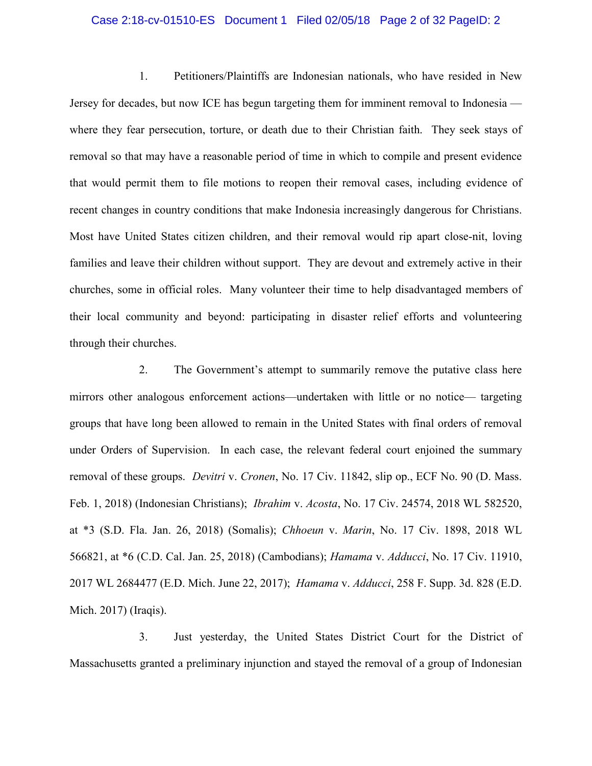### Case 2:18-cv-01510-ES Document 1 Filed 02/05/18 Page 2 of 32 PageID: 2

1. Petitioners/Plaintiffs are Indonesian nationals, who have resided in New Jersey for decades, but now ICE has begun targeting them for imminent removal to Indonesia where they fear persecution, torture, or death due to their Christian faith. They seek stays of removal so that may have a reasonable period of time in which to compile and present evidence that would permit them to file motions to reopen their removal cases, including evidence of recent changes in country conditions that make Indonesia increasingly dangerous for Christians. Most have United States citizen children, and their removal would rip apart close-nit, loving families and leave their children without support. They are devout and extremely active in their churches, some in official roles. Many volunteer their time to help disadvantaged members of their local community and beyond: participating in disaster relief efforts and volunteering through their churches.

2. The Government's attempt to summarily remove the putative class here mirrors other analogous enforcement actions—undertaken with little or no notice— targeting groups that have long been allowed to remain in the United States with final orders of removal under Orders of Supervision. In each case, the relevant federal court enjoined the summary removal of these groups. *Devitri* v. *Cronen*, No. 17 Civ. 11842, slip op., ECF No. 90 (D. Mass. Feb. 1, 2018) (Indonesian Christians); *Ibrahim* v. *Acosta*, No. 17 Civ. 24574, 2018 WL 582520, at \*3 (S.D. Fla. Jan. 26, 2018) (Somalis); *Chhoeun* v. *Marin*, No. 17 Civ. 1898, 2018 WL 566821, at \*6 (C.D. Cal. Jan. 25, 2018) (Cambodians); *Hamama* v. *Adducci*, No. 17 Civ. 11910, 2017 WL 2684477 (E.D. Mich. June 22, 2017); *Hamama* v. *Adducci*, 258 F. Supp. 3d. 828 (E.D. Mich. 2017) (Iraqis).

3. Just yesterday, the United States District Court for the District of Massachusetts granted a preliminary injunction and stayed the removal of a group of Indonesian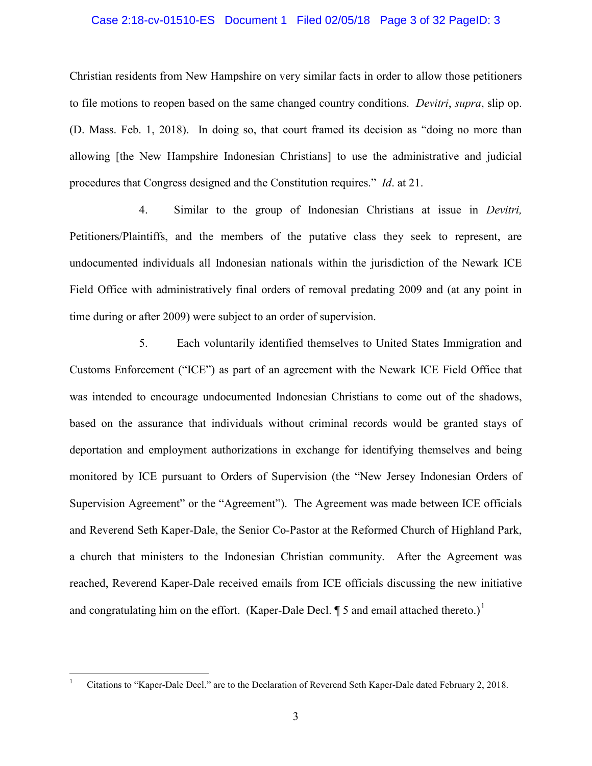### Case 2:18-cv-01510-ES Document 1 Filed 02/05/18 Page 3 of 32 PageID: 3

Christian residents from New Hampshire on very similar facts in order to allow those petitioners to file motions to reopen based on the same changed country conditions. *Devitri*, *supra*, slip op. (D. Mass. Feb. 1, 2018). In doing so, that court framed its decision as "doing no more than allowing [the New Hampshire Indonesian Christians] to use the administrative and judicial procedures that Congress designed and the Constitution requires." *Id*. at 21.

4. Similar to the group of Indonesian Christians at issue in *Devitri,*  Petitioners/Plaintiffs, and the members of the putative class they seek to represent, are undocumented individuals all Indonesian nationals within the jurisdiction of the Newark ICE Field Office with administratively final orders of removal predating 2009 and (at any point in time during or after 2009) were subject to an order of supervision.

5. Each voluntarily identified themselves to United States Immigration and Customs Enforcement ("ICE") as part of an agreement with the Newark ICE Field Office that was intended to encourage undocumented Indonesian Christians to come out of the shadows, based on the assurance that individuals without criminal records would be granted stays of deportation and employment authorizations in exchange for identifying themselves and being monitored by ICE pursuant to Orders of Supervision (the "New Jersey Indonesian Orders of Supervision Agreement" or the "Agreement"). The Agreement was made between ICE officials and Reverend Seth Kaper-Dale, the Senior Co-Pastor at the Reformed Church of Highland Park, a church that ministers to the Indonesian Christian community. After the Agreement was reached, Reverend Kaper-Dale received emails from ICE officials discussing the new initiative and congratulating him on the effort. (Kaper-Dale Decl.  $\P$  5 and email attached thereto.)<sup>[1](#page-2-0)</sup>

<span id="page-2-0"></span> <sup>1</sup> Citations to "Kaper-Dale Decl." are to the Declaration of Reverend Seth Kaper-Dale dated February 2, 2018.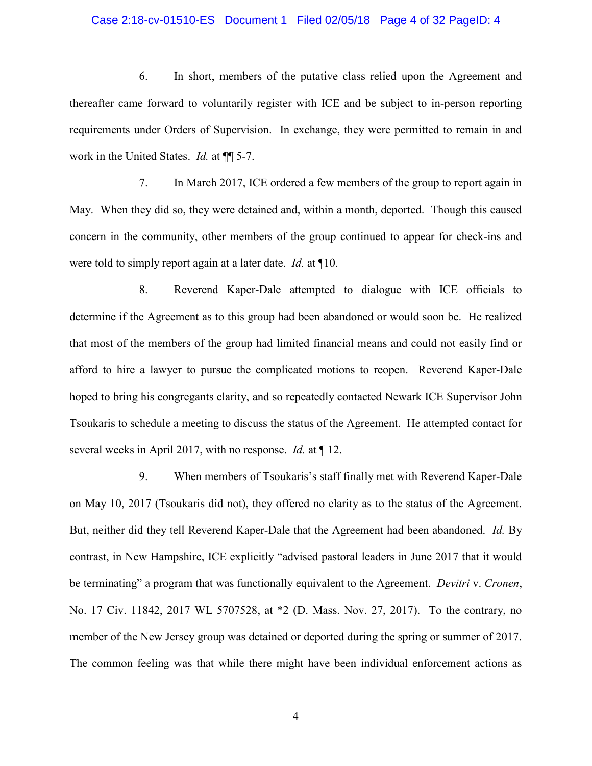### Case 2:18-cv-01510-ES Document 1 Filed 02/05/18 Page 4 of 32 PageID: 4

6. In short, members of the putative class relied upon the Agreement and thereafter came forward to voluntarily register with ICE and be subject to in-person reporting requirements under Orders of Supervision. In exchange, they were permitted to remain in and work in the United States. *Id.* at ¶¶ 5-7.

7. In March 2017, ICE ordered a few members of the group to report again in May. When they did so, they were detained and, within a month, deported. Though this caused concern in the community, other members of the group continued to appear for check-ins and were told to simply report again at a later date. *Id.* at ¶10.

8. Reverend Kaper-Dale attempted to dialogue with ICE officials to determine if the Agreement as to this group had been abandoned or would soon be. He realized that most of the members of the group had limited financial means and could not easily find or afford to hire a lawyer to pursue the complicated motions to reopen. Reverend Kaper-Dale hoped to bring his congregants clarity, and so repeatedly contacted Newark ICE Supervisor John Tsoukaris to schedule a meeting to discuss the status of the Agreement. He attempted contact for several weeks in April 2017, with no response. *Id.* at ¶ 12.

9. When members of Tsoukaris's staff finally met with Reverend Kaper-Dale on May 10, 2017 (Tsoukaris did not), they offered no clarity as to the status of the Agreement. But, neither did they tell Reverend Kaper-Dale that the Agreement had been abandoned. *Id.* By contrast, in New Hampshire, ICE explicitly "advised pastoral leaders in June 2017 that it would be terminating" a program that was functionally equivalent to the Agreement. *Devitri* v. *Cronen*, No. 17 Civ. 11842, 2017 WL 5707528, at \*2 (D. Mass. Nov. 27, 2017). To the contrary, no member of the New Jersey group was detained or deported during the spring or summer of 2017. The common feeling was that while there might have been individual enforcement actions as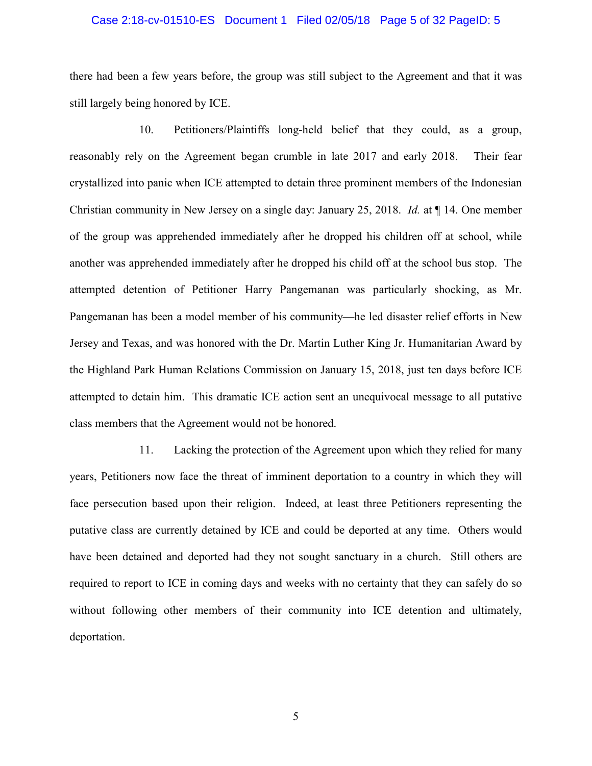### Case 2:18-cv-01510-ES Document 1 Filed 02/05/18 Page 5 of 32 PageID: 5

there had been a few years before, the group was still subject to the Agreement and that it was still largely being honored by ICE.

10. Petitioners/Plaintiffs long-held belief that they could, as a group, reasonably rely on the Agreement began crumble in late 2017 and early 2018. Their fear crystallized into panic when ICE attempted to detain three prominent members of the Indonesian Christian community in New Jersey on a single day: January 25, 2018. *Id.* at ¶ 14. One member of the group was apprehended immediately after he dropped his children off at school, while another was apprehended immediately after he dropped his child off at the school bus stop. The attempted detention of Petitioner Harry Pangemanan was particularly shocking, as Mr. Pangemanan has been a model member of his community—he led disaster relief efforts in New Jersey and Texas, and was honored with the Dr. Martin Luther King Jr. Humanitarian Award by the Highland Park Human Relations Commission on January 15, 2018, just ten days before ICE attempted to detain him. This dramatic ICE action sent an unequivocal message to all putative class members that the Agreement would not be honored.

11. Lacking the protection of the Agreement upon which they relied for many years, Petitioners now face the threat of imminent deportation to a country in which they will face persecution based upon their religion. Indeed, at least three Petitioners representing the putative class are currently detained by ICE and could be deported at any time. Others would have been detained and deported had they not sought sanctuary in a church. Still others are required to report to ICE in coming days and weeks with no certainty that they can safely do so without following other members of their community into ICE detention and ultimately, deportation.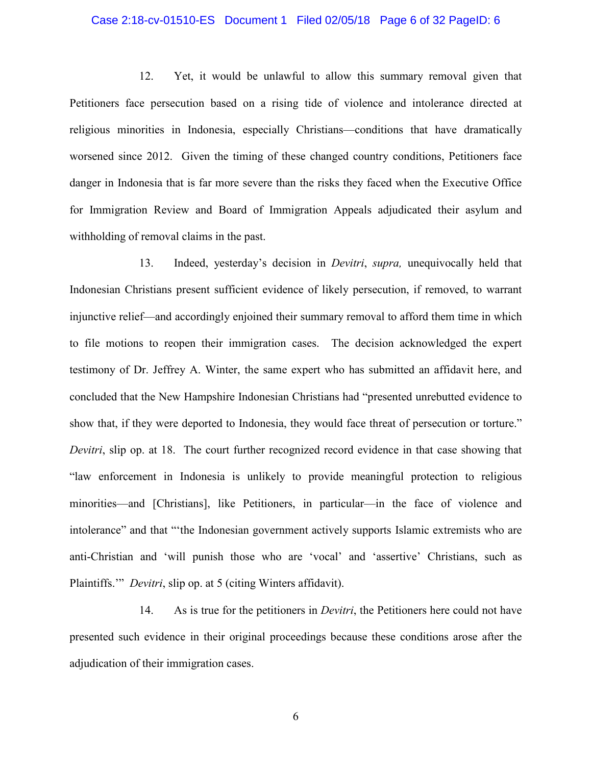### Case 2:18-cv-01510-ES Document 1 Filed 02/05/18 Page 6 of 32 PageID: 6

12. Yet, it would be unlawful to allow this summary removal given that Petitioners face persecution based on a rising tide of violence and intolerance directed at religious minorities in Indonesia, especially Christians—conditions that have dramatically worsened since 2012. Given the timing of these changed country conditions, Petitioners face danger in Indonesia that is far more severe than the risks they faced when the Executive Office for Immigration Review and Board of Immigration Appeals adjudicated their asylum and withholding of removal claims in the past.

13. Indeed, yesterday's decision in *Devitri*, *supra,* unequivocally held that Indonesian Christians present sufficient evidence of likely persecution, if removed, to warrant injunctive relief—and accordingly enjoined their summary removal to afford them time in which to file motions to reopen their immigration cases. The decision acknowledged the expert testimony of Dr. Jeffrey A. Winter, the same expert who has submitted an affidavit here, and concluded that the New Hampshire Indonesian Christians had "presented unrebutted evidence to show that, if they were deported to Indonesia, they would face threat of persecution or torture." *Devitri*, slip op. at 18. The court further recognized record evidence in that case showing that "law enforcement in Indonesia is unlikely to provide meaningful protection to religious minorities—and [Christians], like Petitioners, in particular—in the face of violence and intolerance" and that "'the Indonesian government actively supports Islamic extremists who are anti-Christian and 'will punish those who are 'vocal' and 'assertive' Christians, such as Plaintiffs.'" *Devitri*, slip op. at 5 (citing Winters affidavit).

14. As is true for the petitioners in *Devitri*, the Petitioners here could not have presented such evidence in their original proceedings because these conditions arose after the adjudication of their immigration cases.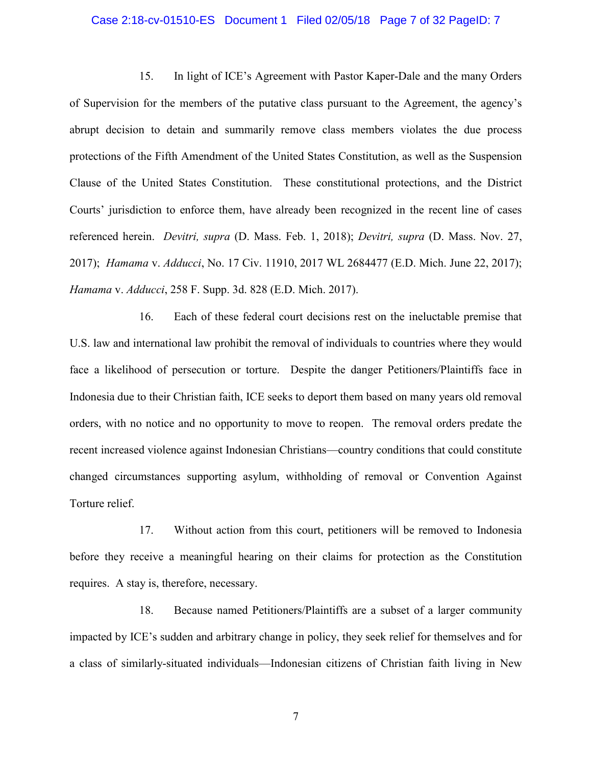### Case 2:18-cv-01510-ES Document 1 Filed 02/05/18 Page 7 of 32 PageID: 7

15. In light of ICE's Agreement with Pastor Kaper-Dale and the many Orders of Supervision for the members of the putative class pursuant to the Agreement, the agency's abrupt decision to detain and summarily remove class members violates the due process protections of the Fifth Amendment of the United States Constitution, as well as the Suspension Clause of the United States Constitution. These constitutional protections, and the District Courts' jurisdiction to enforce them, have already been recognized in the recent line of cases referenced herein. *Devitri, supra* (D. Mass. Feb. 1, 2018); *Devitri, supra* (D. Mass. Nov. 27, 2017); *Hamama* v. *Adducci*, No. 17 Civ. 11910, 2017 WL 2684477 (E.D. Mich. June 22, 2017); *Hamama* v. *Adducci*, 258 F. Supp. 3d. 828 (E.D. Mich. 2017).

16. Each of these federal court decisions rest on the ineluctable premise that U.S. law and international law prohibit the removal of individuals to countries where they would face a likelihood of persecution or torture. Despite the danger Petitioners/Plaintiffs face in Indonesia due to their Christian faith, ICE seeks to deport them based on many years old removal orders, with no notice and no opportunity to move to reopen. The removal orders predate the recent increased violence against Indonesian Christians—country conditions that could constitute changed circumstances supporting asylum, withholding of removal or Convention Against Torture relief.

17. Without action from this court, petitioners will be removed to Indonesia before they receive a meaningful hearing on their claims for protection as the Constitution requires. A stay is, therefore, necessary.

18. Because named Petitioners/Plaintiffs are a subset of a larger community impacted by ICE's sudden and arbitrary change in policy, they seek relief for themselves and for a class of similarly-situated individuals—Indonesian citizens of Christian faith living in New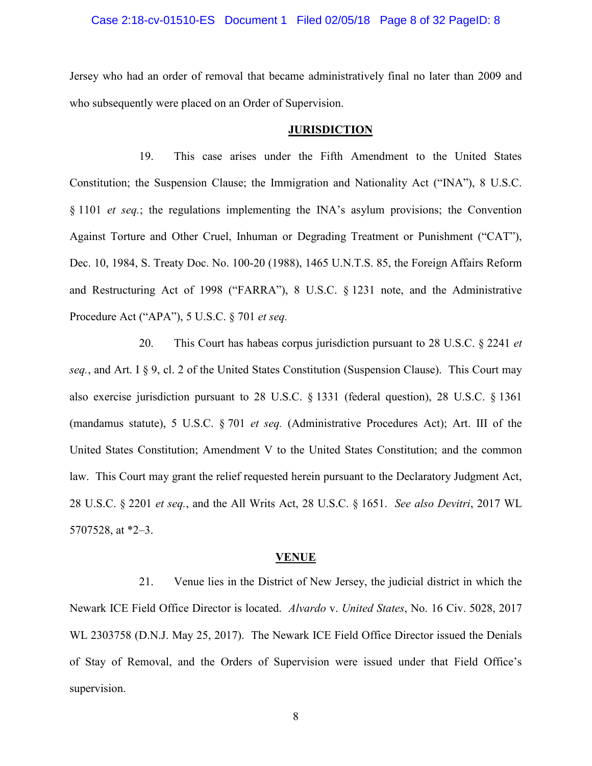### Case 2:18-cv-01510-ES Document 1 Filed 02/05/18 Page 8 of 32 PageID: 8

Jersey who had an order of removal that became administratively final no later than 2009 and who subsequently were placed on an Order of Supervision.

### **JURISDICTION**

19. This case arises under the Fifth Amendment to the United States Constitution; the Suspension Clause; the Immigration and Nationality Act ("INA"), 8 U.S.C. § 1101 *et seq.*; the regulations implementing the INA's asylum provisions; the Convention Against Torture and Other Cruel, Inhuman or Degrading Treatment or Punishment ("CAT"), Dec. 10, 1984, S. Treaty Doc. No. 100-20 (1988), 1465 U.N.T.S. 85, the Foreign Affairs Reform and Restructuring Act of 1998 ("FARRA"), 8 U.S.C. § 1231 note, and the Administrative Procedure Act ("APA"), 5 U.S.C. § 701 *et seq.*

20. This Court has habeas corpus jurisdiction pursuant to 28 U.S.C. § 2241 *et seq.*, and Art. I § 9, cl. 2 of the United States Constitution (Suspension Clause). This Court may also exercise jurisdiction pursuant to 28 U.S.C. § 1331 (federal question), 28 U.S.C. § 1361 (mandamus statute), 5 U.S.C. § 701 *et seq.* (Administrative Procedures Act); Art. III of the United States Constitution; Amendment V to the United States Constitution; and the common law. This Court may grant the relief requested herein pursuant to the Declaratory Judgment Act, 28 U.S.C. § 2201 *et seq.*, and the All Writs Act, 28 U.S.C. § 1651. *See also Devitri*, 2017 WL 5707528, at \*2–3.

#### **VENUE**

21. Venue lies in the District of New Jersey, the judicial district in which the Newark ICE Field Office Director is located. *Alvardo* v. *United States*, No. 16 Civ. 5028, 2017 WL 2303758 (D.N.J. May 25, 2017). The Newark ICE Field Office Director issued the Denials of Stay of Removal, and the Orders of Supervision were issued under that Field Office's supervision.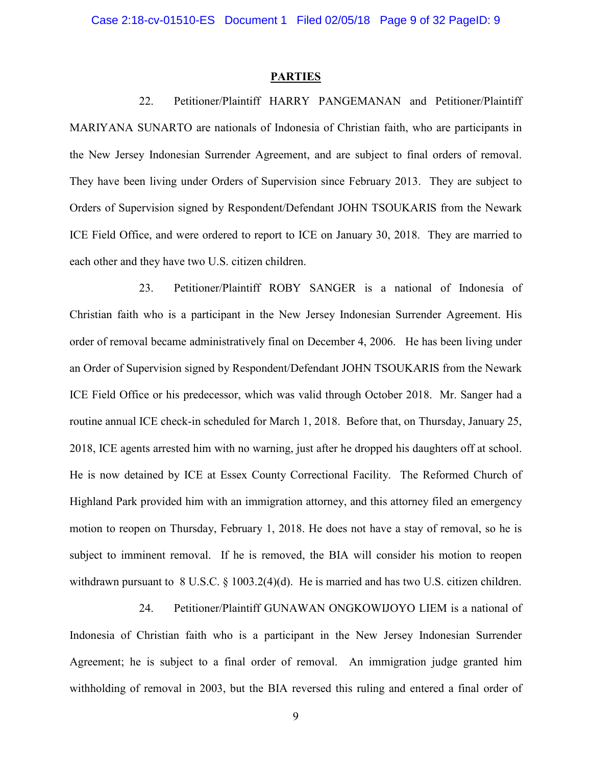#### **PARTIES**

22. Petitioner/Plaintiff HARRY PANGEMANAN and Petitioner/Plaintiff MARIYANA SUNARTO are nationals of Indonesia of Christian faith, who are participants in the New Jersey Indonesian Surrender Agreement, and are subject to final orders of removal. They have been living under Orders of Supervision since February 2013. They are subject to Orders of Supervision signed by Respondent/Defendant JOHN TSOUKARIS from the Newark ICE Field Office, and were ordered to report to ICE on January 30, 2018. They are married to each other and they have two U.S. citizen children.

23. Petitioner/Plaintiff ROBY SANGER is a national of Indonesia of Christian faith who is a participant in the New Jersey Indonesian Surrender Agreement. His order of removal became administratively final on December 4, 2006. He has been living under an Order of Supervision signed by Respondent/Defendant JOHN TSOUKARIS from the Newark ICE Field Office or his predecessor, which was valid through October 2018. Mr. Sanger had a routine annual ICE check-in scheduled for March 1, 2018. Before that, on Thursday, January 25, 2018, ICE agents arrested him with no warning, just after he dropped his daughters off at school. He is now detained by ICE at Essex County Correctional Facility. The Reformed Church of Highland Park provided him with an immigration attorney, and this attorney filed an emergency motion to reopen on Thursday, February 1, 2018. He does not have a stay of removal, so he is subject to imminent removal. If he is removed, the BIA will consider his motion to reopen withdrawn pursuant to 8 U.S.C. § 1003.2(4)(d). He is married and has two U.S. citizen children.

24. Petitioner/Plaintiff GUNAWAN ONGKOWIJOYO LIEM is a national of Indonesia of Christian faith who is a participant in the New Jersey Indonesian Surrender Agreement; he is subject to a final order of removal. An immigration judge granted him withholding of removal in 2003, but the BIA reversed this ruling and entered a final order of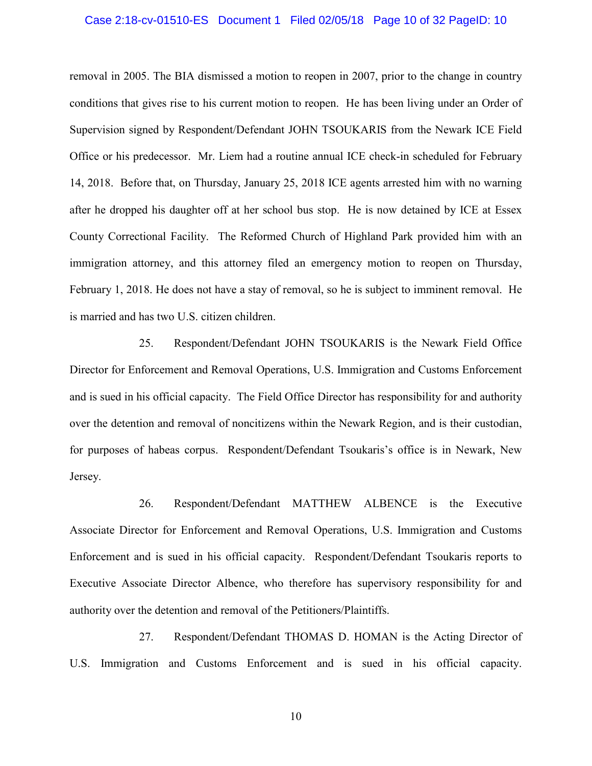### Case 2:18-cv-01510-ES Document 1 Filed 02/05/18 Page 10 of 32 PageID: 10

removal in 2005. The BIA dismissed a motion to reopen in 2007, prior to the change in country conditions that gives rise to his current motion to reopen. He has been living under an Order of Supervision signed by Respondent/Defendant JOHN TSOUKARIS from the Newark ICE Field Office or his predecessor. Mr. Liem had a routine annual ICE check-in scheduled for February 14, 2018. Before that, on Thursday, January 25, 2018 ICE agents arrested him with no warning after he dropped his daughter off at her school bus stop. He is now detained by ICE at Essex County Correctional Facility. The Reformed Church of Highland Park provided him with an immigration attorney, and this attorney filed an emergency motion to reopen on Thursday, February 1, 2018. He does not have a stay of removal, so he is subject to imminent removal. He is married and has two U.S. citizen children.

25. Respondent/Defendant JOHN TSOUKARIS is the Newark Field Office Director for Enforcement and Removal Operations, U.S. Immigration and Customs Enforcement and is sued in his official capacity. The Field Office Director has responsibility for and authority over the detention and removal of noncitizens within the Newark Region, and is their custodian, for purposes of habeas corpus. Respondent/Defendant Tsoukaris's office is in Newark, New Jersey.

26. Respondent/Defendant MATTHEW ALBENCE is the Executive Associate Director for Enforcement and Removal Operations, U.S. Immigration and Customs Enforcement and is sued in his official capacity. Respondent/Defendant Tsoukaris reports to Executive Associate Director Albence, who therefore has supervisory responsibility for and authority over the detention and removal of the Petitioners/Plaintiffs.

27. Respondent/Defendant THOMAS D. HOMAN is the Acting Director of U.S. Immigration and Customs Enforcement and is sued in his official capacity.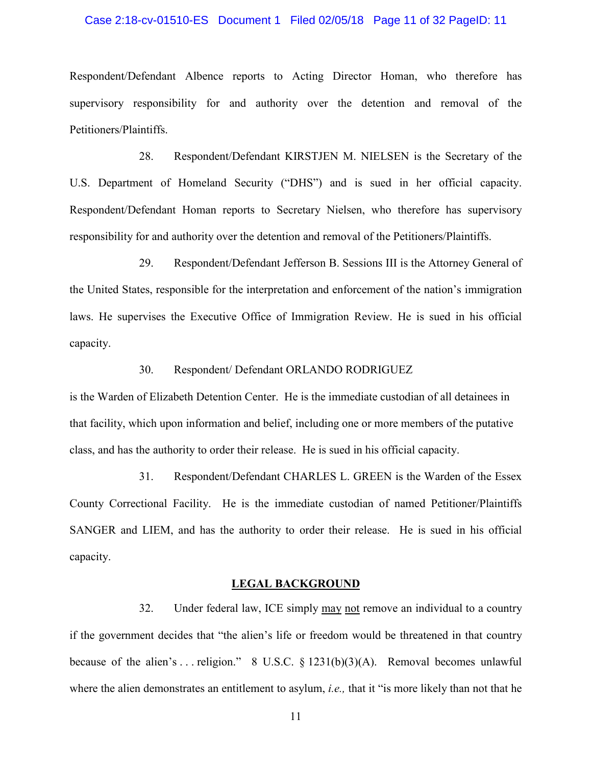### Case 2:18-cv-01510-ES Document 1 Filed 02/05/18 Page 11 of 32 PageID: 11

Respondent/Defendant Albence reports to Acting Director Homan, who therefore has supervisory responsibility for and authority over the detention and removal of the Petitioners/Plaintiffs.

28. Respondent/Defendant KIRSTJEN M. NIELSEN is the Secretary of the U.S. Department of Homeland Security ("DHS") and is sued in her official capacity. Respondent/Defendant Homan reports to Secretary Nielsen, who therefore has supervisory responsibility for and authority over the detention and removal of the Petitioners/Plaintiffs.

29. Respondent/Defendant Jefferson B. Sessions III is the Attorney General of the United States, responsible for the interpretation and enforcement of the nation's immigration laws. He supervises the Executive Office of Immigration Review. He is sued in his official capacity.

### 30. Respondent/ Defendant ORLANDO RODRIGUEZ

is the Warden of Elizabeth Detention Center. He is the immediate custodian of all detainees in that facility, which upon information and belief, including one or more members of the putative class, and has the authority to order their release. He is sued in his official capacity.

31. Respondent/Defendant CHARLES L. GREEN is the Warden of the Essex County Correctional Facility. He is the immediate custodian of named Petitioner/Plaintiffs SANGER and LIEM, and has the authority to order their release. He is sued in his official capacity.

### **LEGAL BACKGROUND**

32. Under federal law, ICE simply may not remove an individual to a country if the government decides that "the alien's life or freedom would be threatened in that country because of the alien's ... religion." 8 U.S.C.  $\S$  1231(b)(3)(A). Removal becomes unlawful where the alien demonstrates an entitlement to asylum, *i.e.,* that it "is more likely than not that he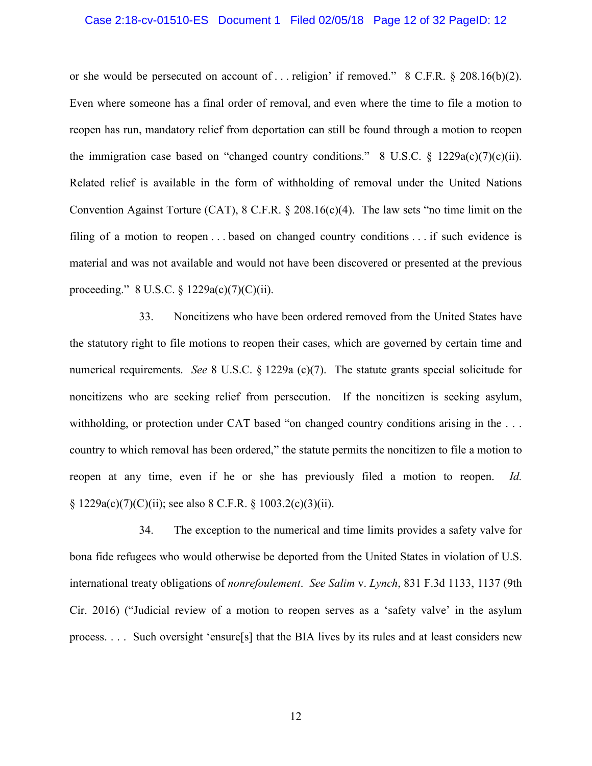### Case 2:18-cv-01510-ES Document 1 Filed 02/05/18 Page 12 of 32 PageID: 12

or she would be persecuted on account of . . . religion' if removed." 8 C.F.R. § 208.16(b)(2). Even where someone has a final order of removal, and even where the time to file a motion to reopen has run, mandatory relief from deportation can still be found through a motion to reopen the immigration case based on "changed country conditions." 8 U.S.C.  $\frac{\xi}{2}$  1229a(c)(7)(c)(ii). Related relief is available in the form of withholding of removal under the United Nations Convention Against Torture (CAT), 8 C.F.R. § 208.16(c)(4). The law sets "no time limit on the filing of a motion to reopen . . . based on changed country conditions . . . if such evidence is material and was not available and would not have been discovered or presented at the previous proceeding." 8 U.S.C. § 1229a(c)(7)(C)(ii).

33. Noncitizens who have been ordered removed from the United States have the statutory right to file motions to reopen their cases, which are governed by certain time and numerical requirements. *See* 8 U.S.C. § 1229a (c)(7). The statute grants special solicitude for noncitizens who are seeking relief from persecution. If the noncitizen is seeking asylum, withholding, or protection under CAT based "on changed country conditions arising in the ... country to which removal has been ordered," the statute permits the noncitizen to file a motion to reopen at any time, even if he or she has previously filed a motion to reopen. *Id.*   $\S 1229a(c)(7)(C)(ii)$ ; see also 8 C.F.R.  $\S 1003.2(c)(3)(ii)$ .

34. The exception to the numerical and time limits provides a safety valve for bona fide refugees who would otherwise be deported from the United States in violation of U.S. international treaty obligations of *nonrefoulement*. *See Salim* v. *Lynch*, 831 F.3d 1133, 1137 (9th Cir. 2016) ("Judicial review of a motion to reopen serves as a 'safety valve' in the asylum process. . . . Such oversight 'ensure[s] that the BIA lives by its rules and at least considers new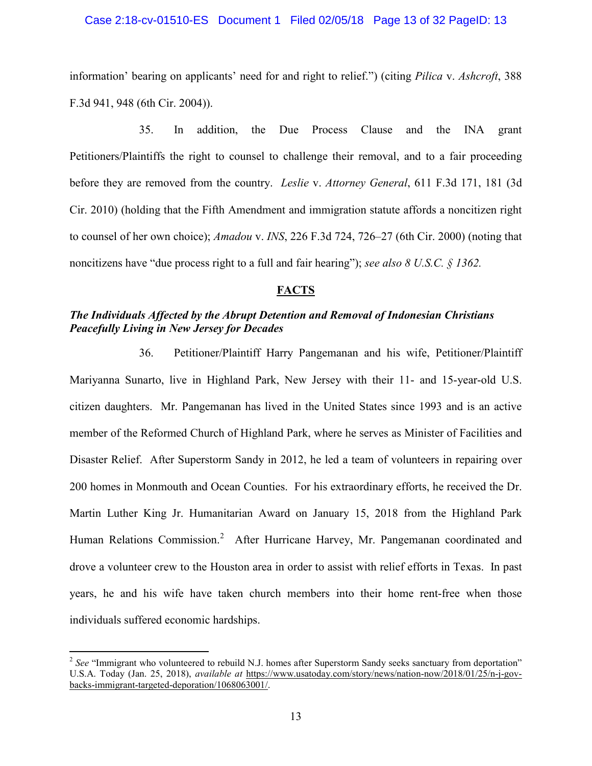### Case 2:18-cv-01510-ES Document 1 Filed 02/05/18 Page 13 of 32 PageID: 13

information' bearing on applicants' need for and right to relief.") (citing *Pilica* v. *Ashcroft*, 388 F.3d 941, 948 (6th Cir. 2004)).

35. In addition, the Due Process Clause and the INA grant Petitioners/Plaintiffs the right to counsel to challenge their removal, and to a fair proceeding before they are removed from the country. *Leslie* v. *Attorney General*, 611 F.3d 171, 181 (3d Cir. 2010) (holding that the Fifth Amendment and immigration statute affords a noncitizen right to counsel of her own choice); *Amadou* v. *INS*, 226 F.3d 724, 726–27 (6th Cir. 2000) (noting that noncitizens have "due process right to a full and fair hearing"); *see also 8 U.S.C. § 1362.*

# **FACTS**

# *The Individuals Affected by the Abrupt Detention and Removal of Indonesian Christians Peacefully Living in New Jersey for Decades*

36. Petitioner/Plaintiff Harry Pangemanan and his wife, Petitioner/Plaintiff Mariyanna Sunarto, live in Highland Park, New Jersey with their 11- and 15-year-old U.S. citizen daughters. Mr. Pangemanan has lived in the United States since 1993 and is an active member of the Reformed Church of Highland Park, where he serves as Minister of Facilities and Disaster Relief. After Superstorm Sandy in 2012, he led a team of volunteers in repairing over 200 homes in Monmouth and Ocean Counties. For his extraordinary efforts, he received the Dr. Martin Luther King Jr. Humanitarian Award on January 15, 2018 from the Highland Park Human Relations Commission.<sup>[2](#page-12-0)</sup> After Hurricane Harvey, Mr. Pangemanan coordinated and drove a volunteer crew to the Houston area in order to assist with relief efforts in Texas. In past years, he and his wife have taken church members into their home rent-free when those individuals suffered economic hardships.

<span id="page-12-0"></span><sup>&</sup>lt;sup>2</sup> See "Immigrant who volunteered to rebuild N.J. homes after Superstorm Sandy seeks sanctuary from deportation" U.S.A. Today (Jan. 25, 2018), *available at* [https://www.usatoday.com/story/news/nation-now/2018/01/25/n-j-gov](https://www.usatoday.com/story/news/nation-now/2018/01/25/n-j-gov-backs-immigrant-targeted-deporation/1068063001/)[backs-immigrant-targeted-deporation/1068063001/.](https://www.usatoday.com/story/news/nation-now/2018/01/25/n-j-gov-backs-immigrant-targeted-deporation/1068063001/)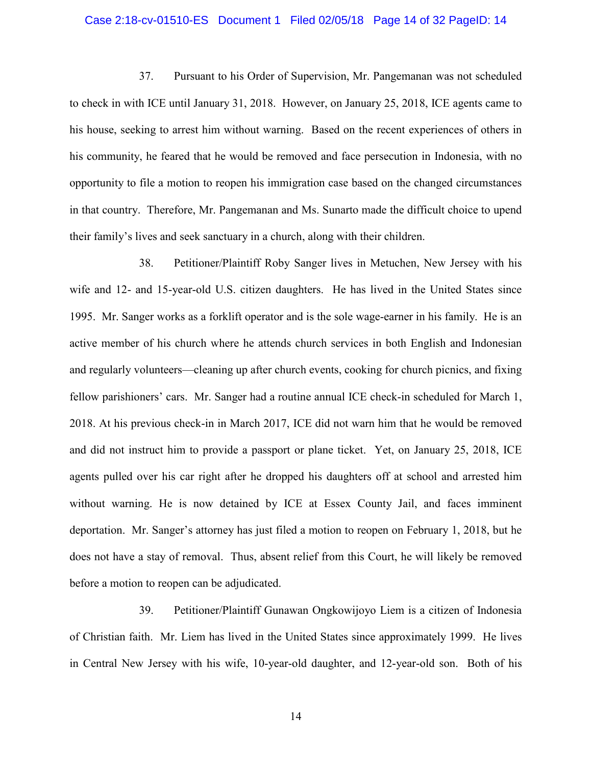### Case 2:18-cv-01510-ES Document 1 Filed 02/05/18 Page 14 of 32 PageID: 14

37. Pursuant to his Order of Supervision, Mr. Pangemanan was not scheduled to check in with ICE until January 31, 2018. However, on January 25, 2018, ICE agents came to his house, seeking to arrest him without warning. Based on the recent experiences of others in his community, he feared that he would be removed and face persecution in Indonesia, with no opportunity to file a motion to reopen his immigration case based on the changed circumstances in that country. Therefore, Mr. Pangemanan and Ms. Sunarto made the difficult choice to upend their family's lives and seek sanctuary in a church, along with their children.

38. Petitioner/Plaintiff Roby Sanger lives in Metuchen, New Jersey with his wife and 12- and 15-year-old U.S. citizen daughters. He has lived in the United States since 1995. Mr. Sanger works as a forklift operator and is the sole wage-earner in his family. He is an active member of his church where he attends church services in both English and Indonesian and regularly volunteers—cleaning up after church events, cooking for church picnics, and fixing fellow parishioners' cars. Mr. Sanger had a routine annual ICE check-in scheduled for March 1, 2018. At his previous check-in in March 2017, ICE did not warn him that he would be removed and did not instruct him to provide a passport or plane ticket. Yet, on January 25, 2018, ICE agents pulled over his car right after he dropped his daughters off at school and arrested him without warning. He is now detained by ICE at Essex County Jail, and faces imminent deportation. Mr. Sanger's attorney has just filed a motion to reopen on February 1, 2018, but he does not have a stay of removal. Thus, absent relief from this Court, he will likely be removed before a motion to reopen can be adjudicated.

39. Petitioner/Plaintiff Gunawan Ongkowijoyo Liem is a citizen of Indonesia of Christian faith. Mr. Liem has lived in the United States since approximately 1999. He lives in Central New Jersey with his wife, 10-year-old daughter, and 12-year-old son. Both of his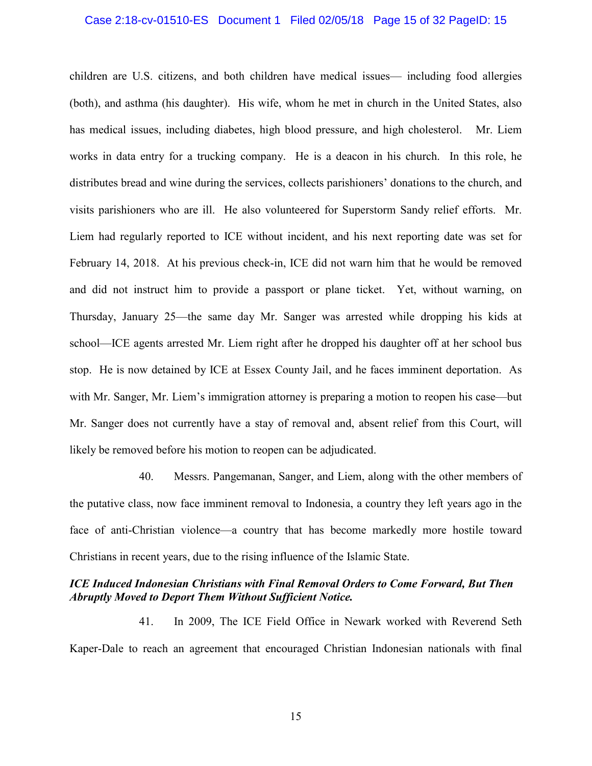### Case 2:18-cv-01510-ES Document 1 Filed 02/05/18 Page 15 of 32 PageID: 15

children are U.S. citizens, and both children have medical issues— including food allergies (both), and asthma (his daughter). His wife, whom he met in church in the United States, also has medical issues, including diabetes, high blood pressure, and high cholesterol. Mr. Liem works in data entry for a trucking company. He is a deacon in his church. In this role, he distributes bread and wine during the services, collects parishioners' donations to the church, and visits parishioners who are ill. He also volunteered for Superstorm Sandy relief efforts. Mr. Liem had regularly reported to ICE without incident, and his next reporting date was set for February 14, 2018. At his previous check-in, ICE did not warn him that he would be removed and did not instruct him to provide a passport or plane ticket. Yet, without warning, on Thursday, January 25—the same day Mr. Sanger was arrested while dropping his kids at school—ICE agents arrested Mr. Liem right after he dropped his daughter off at her school bus stop. He is now detained by ICE at Essex County Jail, and he faces imminent deportation. As with Mr. Sanger, Mr. Liem's immigration attorney is preparing a motion to reopen his case—but Mr. Sanger does not currently have a stay of removal and, absent relief from this Court, will likely be removed before his motion to reopen can be adjudicated.

40. Messrs. Pangemanan, Sanger, and Liem, along with the other members of the putative class, now face imminent removal to Indonesia, a country they left years ago in the face of anti-Christian violence—a country that has become markedly more hostile toward Christians in recent years, due to the rising influence of the Islamic State.

## *ICE Induced Indonesian Christians with Final Removal Orders to Come Forward, But Then Abruptly Moved to Deport Them Without Sufficient Notice.*

41. In 2009, The ICE Field Office in Newark worked with Reverend Seth Kaper-Dale to reach an agreement that encouraged Christian Indonesian nationals with final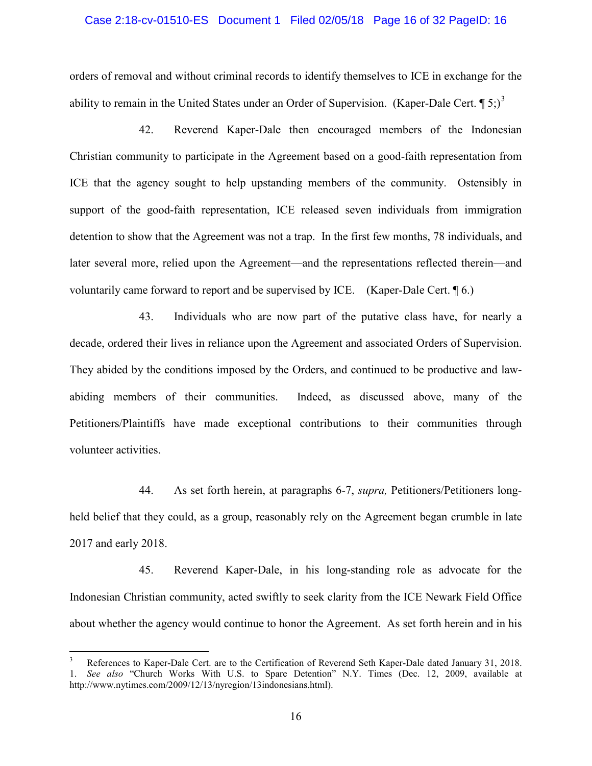### Case 2:18-cv-01510-ES Document 1 Filed 02/05/18 Page 16 of 32 PageID: 16

orders of removal and without criminal records to identify themselves to ICE in exchange for the ability to remain in the United States under an Order of Supervision. (Kaper-Dale Cert.  $\P$  5;)<sup>[3](#page-15-0)</sup>

42. Reverend Kaper-Dale then encouraged members of the Indonesian Christian community to participate in the Agreement based on a good-faith representation from ICE that the agency sought to help upstanding members of the community. Ostensibly in support of the good-faith representation, ICE released seven individuals from immigration detention to show that the Agreement was not a trap. In the first few months, 78 individuals, and later several more, relied upon the Agreement—and the representations reflected therein—and voluntarily came forward to report and be supervised by ICE. (Kaper-Dale Cert. ¶ 6.)

43. Individuals who are now part of the putative class have, for nearly a decade, ordered their lives in reliance upon the Agreement and associated Orders of Supervision. They abided by the conditions imposed by the Orders, and continued to be productive and lawabiding members of their communities. Indeed, as discussed above, many of the Petitioners/Plaintiffs have made exceptional contributions to their communities through volunteer activities.

44. As set forth herein, at paragraphs 6-7, *supra,* Petitioners/Petitioners longheld belief that they could, as a group, reasonably rely on the Agreement began crumble in late 2017 and early 2018.

45. Reverend Kaper-Dale, in his long-standing role as advocate for the Indonesian Christian community, acted swiftly to seek clarity from the ICE Newark Field Office about whether the agency would continue to honor the Agreement. As set forth herein and in his

<span id="page-15-0"></span> <sup>3</sup> References to Kaper-Dale Cert. are to the Certification of Reverend Seth Kaper-Dale dated January 31, 2018. 1. *See also* "Church Works With U.S. to Spare Detention" N.Y. Times (Dec. 12, 2009, available at http://www.nytimes.com/2009/12/13/nyregion/13indonesians.html).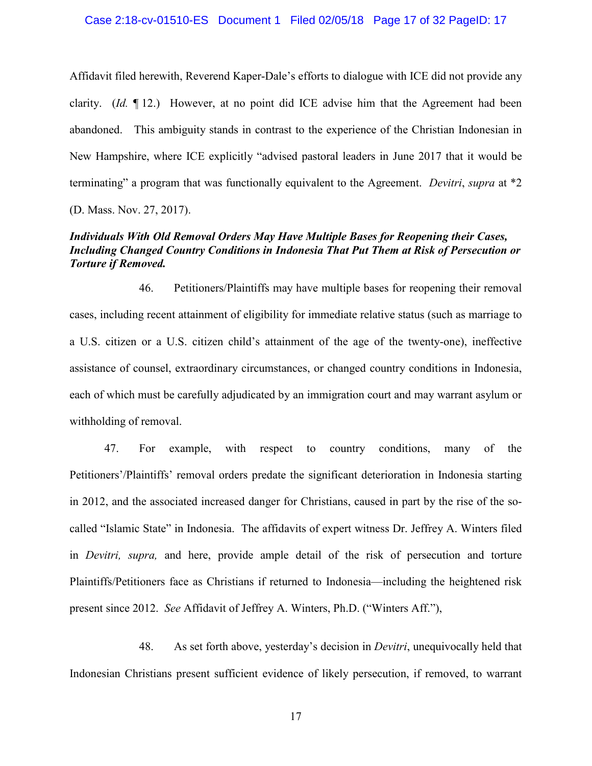### Case 2:18-cv-01510-ES Document 1 Filed 02/05/18 Page 17 of 32 PageID: 17

Affidavit filed herewith, Reverend Kaper-Dale's efforts to dialogue with ICE did not provide any clarity. (*Id.* ¶ 12.) However, at no point did ICE advise him that the Agreement had been abandoned. This ambiguity stands in contrast to the experience of the Christian Indonesian in New Hampshire, where ICE explicitly "advised pastoral leaders in June 2017 that it would be terminating" a program that was functionally equivalent to the Agreement. *Devitri*, *supra* at \*2 (D. Mass. Nov. 27, 2017).

## *Individuals With Old Removal Orders May Have Multiple Bases for Reopening their Cases, Including Changed Country Conditions in Indonesia That Put Them at Risk of Persecution or Torture if Removed.*

46. Petitioners/Plaintiffs may have multiple bases for reopening their removal cases, including recent attainment of eligibility for immediate relative status (such as marriage to a U.S. citizen or a U.S. citizen child's attainment of the age of the twenty-one), ineffective assistance of counsel, extraordinary circumstances, or changed country conditions in Indonesia, each of which must be carefully adjudicated by an immigration court and may warrant asylum or withholding of removal.

47. For example, with respect to country conditions, many of the Petitioners'/Plaintiffs' removal orders predate the significant deterioration in Indonesia starting in 2012, and the associated increased danger for Christians, caused in part by the rise of the socalled "Islamic State" in Indonesia. The affidavits of expert witness Dr. Jeffrey A. Winters filed in *Devitri, supra,* and here, provide ample detail of the risk of persecution and torture Plaintiffs/Petitioners face as Christians if returned to Indonesia—including the heightened risk present since 2012. *See* Affidavit of Jeffrey A. Winters, Ph.D. ("Winters Aff."),

48. As set forth above, yesterday's decision in *Devitri*, unequivocally held that Indonesian Christians present sufficient evidence of likely persecution, if removed, to warrant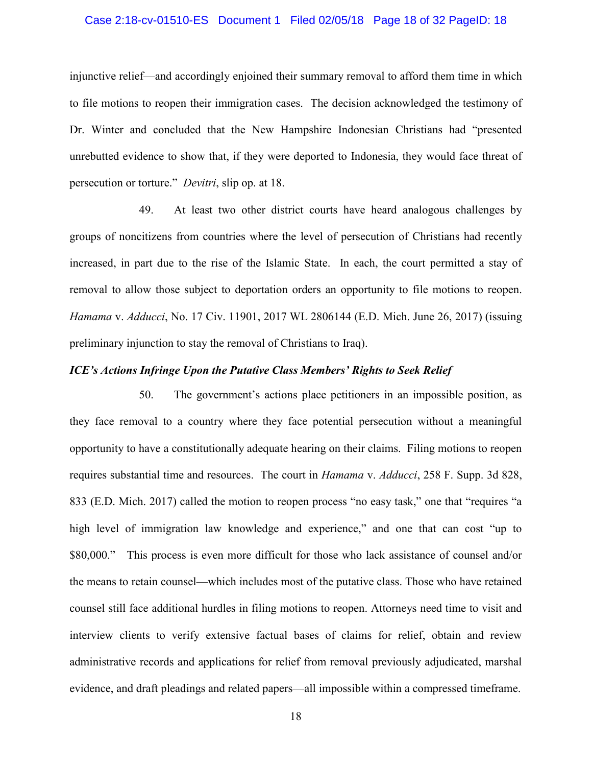### Case 2:18-cv-01510-ES Document 1 Filed 02/05/18 Page 18 of 32 PageID: 18

injunctive relief—and accordingly enjoined their summary removal to afford them time in which to file motions to reopen their immigration cases. The decision acknowledged the testimony of Dr. Winter and concluded that the New Hampshire Indonesian Christians had "presented unrebutted evidence to show that, if they were deported to Indonesia, they would face threat of persecution or torture." *Devitri*, slip op. at 18.

49. At least two other district courts have heard analogous challenges by groups of noncitizens from countries where the level of persecution of Christians had recently increased, in part due to the rise of the Islamic State. In each, the court permitted a stay of removal to allow those subject to deportation orders an opportunity to file motions to reopen. *Hamama* v. *Adducci*, No. 17 Civ. 11901, 2017 WL 2806144 (E.D. Mich. June 26, 2017) (issuing preliminary injunction to stay the removal of Christians to Iraq).

### *ICE's Actions Infringe Upon the Putative Class Members' Rights to Seek Relief*

50. The government's actions place petitioners in an impossible position, as they face removal to a country where they face potential persecution without a meaningful opportunity to have a constitutionally adequate hearing on their claims. Filing motions to reopen requires substantial time and resources. The court in *Hamama* v. *Adducci*, 258 F. Supp. 3d 828, 833 (E.D. Mich. 2017) called the motion to reopen process "no easy task," one that "requires "a high level of immigration law knowledge and experience," and one that can cost "up to \$80,000." This process is even more difficult for those who lack assistance of counsel and/or the means to retain counsel—which includes most of the putative class. Those who have retained counsel still face additional hurdles in filing motions to reopen. Attorneys need time to visit and interview clients to verify extensive factual bases of claims for relief, obtain and review administrative records and applications for relief from removal previously adjudicated, marshal evidence, and draft pleadings and related papers—all impossible within a compressed timeframe.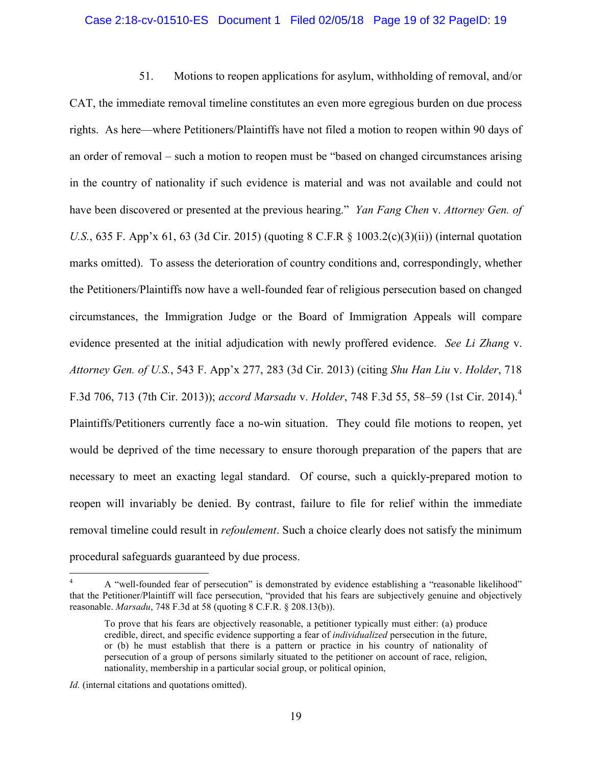#### Case 2:18-cv-01510-ES Document 1 Filed 02/05/18 Page 19 of 32 PageID: 19

51. Motions to reopen applications for asylum, withholding of removal, and/or CAT, the immediate removal timeline constitutes an even more egregious burden on due process rights. As here—where Petitioners/Plaintiffs have not filed a motion to reopen within 90 days of an order of removal – such a motion to reopen must be "based on changed circumstances arising in the country of nationality if such evidence is material and was not available and could not have been discovered or presented at the previous hearing." *Yan Fang Chen* v. *Attorney Gen. of U.S.*, 635 F. App'x 61, 63 (3d Cir. 2015) (quoting 8 C.F.R § 1003.2(c)(3)(ii)) (internal quotation marks omitted). To assess the deterioration of country conditions and, correspondingly, whether the Petitioners/Plaintiffs now have a well-founded fear of religious persecution based on changed circumstances, the Immigration Judge or the Board of Immigration Appeals will compare evidence presented at the initial adjudication with newly proffered evidence. *See Li Zhang* v. *Attorney Gen. of U.S.*, 543 F. App'x 277, 283 (3d Cir. 2013) (citing *Shu Han Liu* v. *Holder*, 718 F.3d 706, 713 (7th Cir. 2013)); *accord Marsadu* v. *Holder*, 748 F.3d 55, 58–59 (1st Cir. 2014). [4](#page-18-0) Plaintiffs/Petitioners currently face a no-win situation. They could file motions to reopen, yet would be deprived of the time necessary to ensure thorough preparation of the papers that are necessary to meet an exacting legal standard. Of course, such a quickly-prepared motion to reopen will invariably be denied. By contrast, failure to file for relief within the immediate removal timeline could result in *refoulement*. Such a choice clearly does not satisfy the minimum procedural safeguards guaranteed by due process.

<span id="page-18-0"></span> <sup>4</sup> A "well-founded fear of persecution" is demonstrated by evidence establishing a "reasonable likelihood" that the Petitioner/Plaintiff will face persecution, "provided that his fears are subjectively genuine and objectively reasonable. *Marsadu*, 748 F.3d at 58 (quoting 8 C.F.R. § 208.13(b)).

To prove that his fears are objectively reasonable, a petitioner typically must either: (a) produce credible, direct, and specific evidence supporting a fear of *individualized* persecution in the future, or (b) he must establish that there is a pattern or practice in his country of nationality of persecution of a group of persons similarly situated to the petitioner on account of race, religion, nationality, membership in a particular social group, or political opinion,

*Id.* (internal citations and quotations omitted).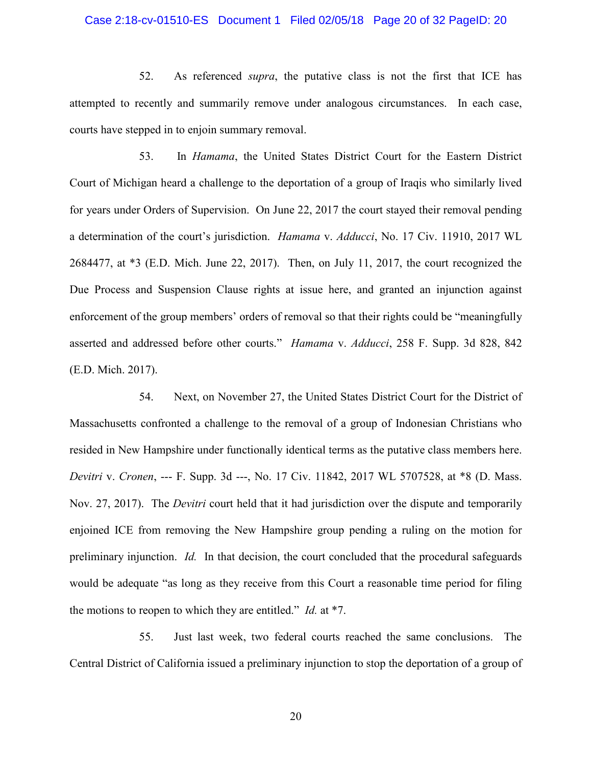### Case 2:18-cv-01510-ES Document 1 Filed 02/05/18 Page 20 of 32 PageID: 20

52. As referenced *supra*, the putative class is not the first that ICE has attempted to recently and summarily remove under analogous circumstances. In each case, courts have stepped in to enjoin summary removal.

53. In *Hamama*, the United States District Court for the Eastern District Court of Michigan heard a challenge to the deportation of a group of Iraqis who similarly lived for years under Orders of Supervision. On June 22, 2017 the court stayed their removal pending a determination of the court's jurisdiction. *Hamama* v. *Adducci*, No. 17 Civ. 11910, 2017 WL 2684477, at \*3 (E.D. Mich. June 22, 2017). Then, on July 11, 2017, the court recognized the Due Process and Suspension Clause rights at issue here, and granted an injunction against enforcement of the group members' orders of removal so that their rights could be "meaningfully asserted and addressed before other courts." *Hamama* v. *Adducci*, 258 F. Supp. 3d 828, 842 (E.D. Mich. 2017).

54. Next, on November 27, the United States District Court for the District of Massachusetts confronted a challenge to the removal of a group of Indonesian Christians who resided in New Hampshire under functionally identical terms as the putative class members here. *Devitri* v. *Cronen*, --- F. Supp. 3d ---, No. 17 Civ. 11842, 2017 WL 5707528, at \*8 (D. Mass. Nov. 27, 2017). The *Devitri* court held that it had jurisdiction over the dispute and temporarily enjoined ICE from removing the New Hampshire group pending a ruling on the motion for preliminary injunction. *Id.* In that decision, the court concluded that the procedural safeguards would be adequate "as long as they receive from this Court a reasonable time period for filing the motions to reopen to which they are entitled." *Id.* at \*7.

55. Just last week, two federal courts reached the same conclusions. The Central District of California issued a preliminary injunction to stop the deportation of a group of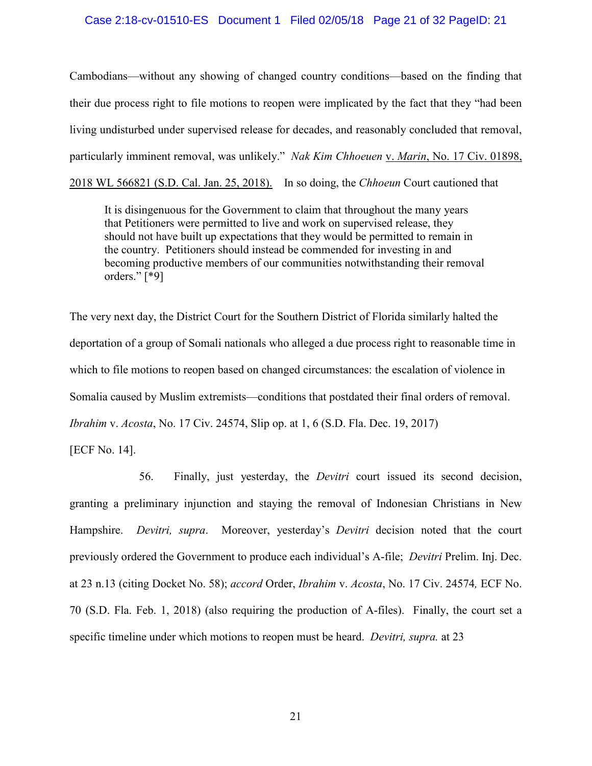### Case 2:18-cv-01510-ES Document 1 Filed 02/05/18 Page 21 of 32 PageID: 21

Cambodians—without any showing of changed country conditions—based on the finding that their due process right to file motions to reopen were implicated by the fact that they "had been living undisturbed under supervised release for decades, and reasonably concluded that removal, particularly imminent removal, was unlikely." *Nak Kim Chhoeuen* v. *Marin*, No. 17 Civ. 01898, 2018 WL 566821 (S.D. Cal. Jan. 25, 2018). In so doing, the *Chhoeun* Court cautioned that

It is disingenuous for the Government to claim that throughout the many years that Petitioners were permitted to live and work on supervised release, they should not have built up expectations that they would be permitted to remain in the country. Petitioners should instead be commended for investing in and becoming productive members of our communities notwithstanding their removal orders." [\*9]

The very next day, the District Court for the Southern District of Florida similarly halted the deportation of a group of Somali nationals who alleged a due process right to reasonable time in which to file motions to reopen based on changed circumstances: the escalation of violence in Somalia caused by Muslim extremists—conditions that postdated their final orders of removal. *Ibrahim* v. *Acosta*, No. 17 Civ. 24574, Slip op. at 1, 6 (S.D. Fla. Dec. 19, 2017)

[ECF No. 14].

56. Finally, just yesterday, the *Devitri* court issued its second decision, granting a preliminary injunction and staying the removal of Indonesian Christians in New Hampshire. *Devitri, supra*. Moreover, yesterday's *Devitri* decision noted that the court previously ordered the Government to produce each individual's A-file; *Devitri* Prelim. Inj. Dec. at 23 n.13 (citing Docket No. 58); *accord* Order, *Ibrahim* v. *Acosta*, No. 17 Civ. 24574*,* ECF No. 70 (S.D. Fla. Feb. 1, 2018) (also requiring the production of A-files). Finally, the court set a specific timeline under which motions to reopen must be heard. *Devitri, supra.* at 23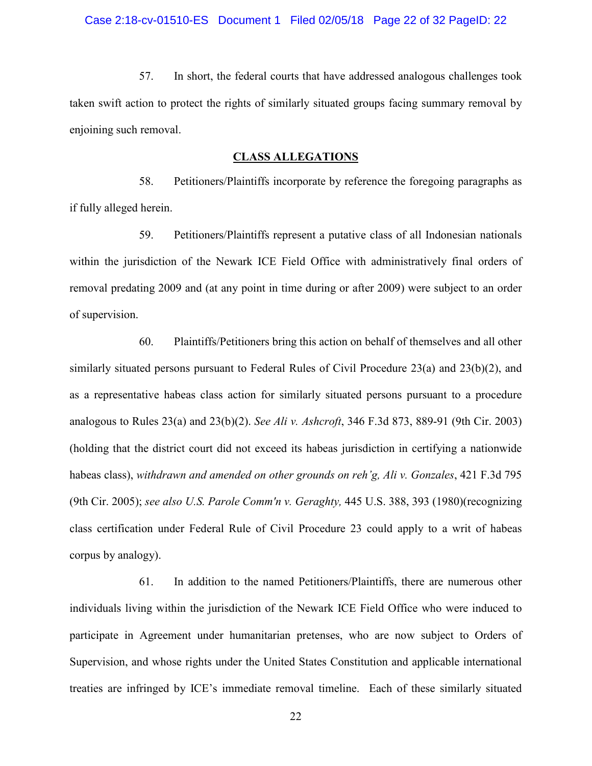57. In short, the federal courts that have addressed analogous challenges took taken swift action to protect the rights of similarly situated groups facing summary removal by enjoining such removal.

### **CLASS ALLEGATIONS**

58. Petitioners/Plaintiffs incorporate by reference the foregoing paragraphs as if fully alleged herein.

59. Petitioners/Plaintiffs represent a putative class of all Indonesian nationals within the jurisdiction of the Newark ICE Field Office with administratively final orders of removal predating 2009 and (at any point in time during or after 2009) were subject to an order of supervision.

60. Plaintiffs/Petitioners bring this action on behalf of themselves and all other similarly situated persons pursuant to Federal Rules of Civil Procedure 23(a) and 23(b)(2), and as a representative habeas class action for similarly situated persons pursuant to a procedure analogous to Rules 23(a) and 23(b)(2). *See Ali v. Ashcroft*, 346 F.3d 873, 889-91 (9th Cir. 2003) (holding that the district court did not exceed its habeas jurisdiction in certifying a nationwide habeas class), *withdrawn and amended on other grounds on reh'g, Ali v. Gonzales*, 421 F.3d 795 (9th Cir. 2005); *see also U.S. Parole Comm'n v. Geraghty,* 445 U.S. 388, 393 (1980)(recognizing class certification under Federal Rule of Civil Procedure 23 could apply to a writ of habeas corpus by analogy).

61. In addition to the named Petitioners/Plaintiffs, there are numerous other individuals living within the jurisdiction of the Newark ICE Field Office who were induced to participate in Agreement under humanitarian pretenses, who are now subject to Orders of Supervision, and whose rights under the United States Constitution and applicable international treaties are infringed by ICE's immediate removal timeline. Each of these similarly situated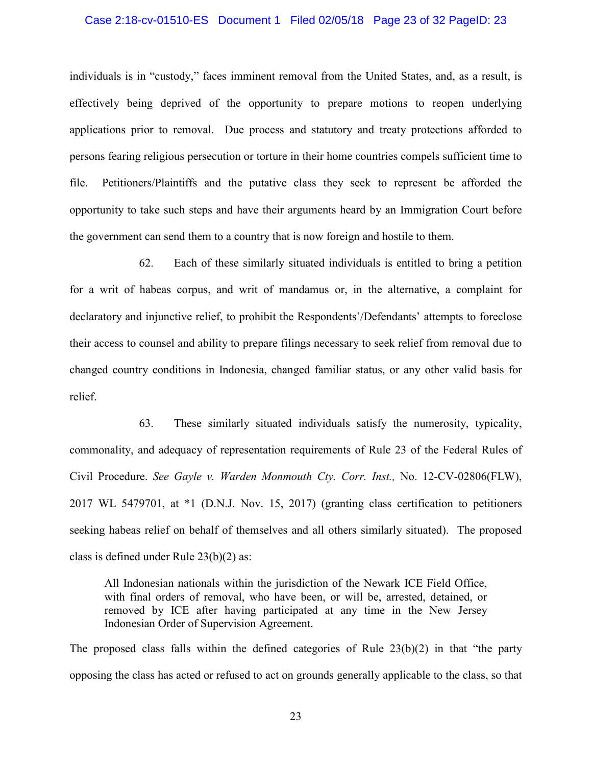### Case 2:18-cv-01510-ES Document 1 Filed 02/05/18 Page 23 of 32 PageID: 23

individuals is in "custody," faces imminent removal from the United States, and, as a result, is effectively being deprived of the opportunity to prepare motions to reopen underlying applications prior to removal. Due process and statutory and treaty protections afforded to persons fearing religious persecution or torture in their home countries compels sufficient time to file. Petitioners/Plaintiffs and the putative class they seek to represent be afforded the opportunity to take such steps and have their arguments heard by an Immigration Court before the government can send them to a country that is now foreign and hostile to them.

62. Each of these similarly situated individuals is entitled to bring a petition for a writ of habeas corpus, and writ of mandamus or, in the alternative, a complaint for declaratory and injunctive relief, to prohibit the Respondents'/Defendants' attempts to foreclose their access to counsel and ability to prepare filings necessary to seek relief from removal due to changed country conditions in Indonesia, changed familiar status, or any other valid basis for relief.

63. These similarly situated individuals satisfy the numerosity, typicality, commonality, and adequacy of representation requirements of Rule 23 of the Federal Rules of Civil Procedure. *See Gayle v. Warden Monmouth Cty. Corr. Inst.,* No. 12-CV-02806(FLW), 2017 WL 5479701, at \*1 (D.N.J. Nov. 15, 2017) (granting class certification to petitioners seeking habeas relief on behalf of themselves and all others similarly situated). The proposed class is defined under Rule 23(b)(2) as:

All Indonesian nationals within the jurisdiction of the Newark ICE Field Office, with final orders of removal, who have been, or will be, arrested, detained, or removed by ICE after having participated at any time in the New Jersey Indonesian Order of Supervision Agreement.

The proposed class falls within the defined categories of Rule 23(b)(2) in that "the party opposing the class has acted or refused to act on grounds generally applicable to the class, so that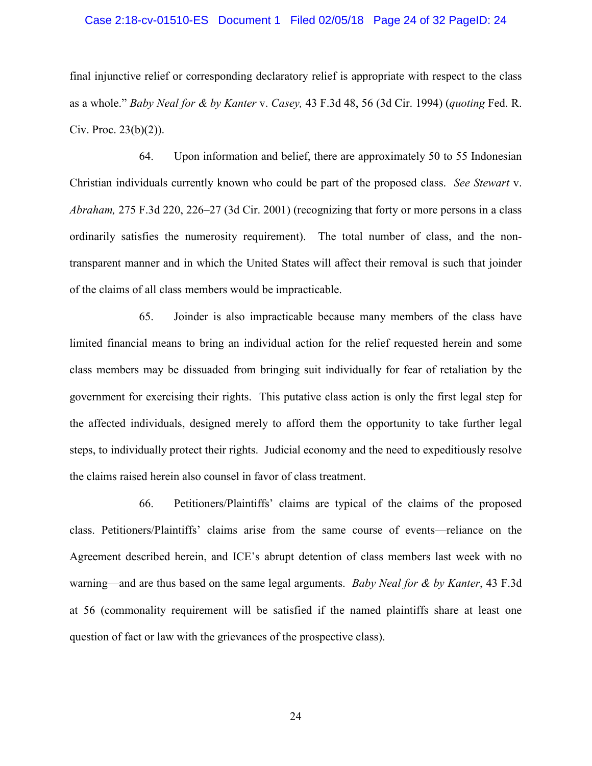### Case 2:18-cv-01510-ES Document 1 Filed 02/05/18 Page 24 of 32 PageID: 24

final injunctive relief or corresponding declaratory relief is appropriate with respect to the class as a whole." *Baby Neal for & by Kanter* v. *Casey,* 43 F.3d 48, 56 (3d Cir. 1994) (*quoting* Fed. R. Civ. Proc. 23(b)(2)).

64. Upon information and belief, there are approximately 50 to 55 Indonesian Christian individuals currently known who could be part of the proposed class. *See Stewart* v. *Abraham,* 275 F.3d 220, 226–27 (3d Cir. 2001) (recognizing that forty or more persons in a class ordinarily satisfies the numerosity requirement). The total number of class, and the nontransparent manner and in which the United States will affect their removal is such that joinder of the claims of all class members would be impracticable.

65. Joinder is also impracticable because many members of the class have limited financial means to bring an individual action for the relief requested herein and some class members may be dissuaded from bringing suit individually for fear of retaliation by the government for exercising their rights. This putative class action is only the first legal step for the affected individuals, designed merely to afford them the opportunity to take further legal steps, to individually protect their rights. Judicial economy and the need to expeditiously resolve the claims raised herein also counsel in favor of class treatment.

66. Petitioners/Plaintiffs' claims are typical of the claims of the proposed class. Petitioners/Plaintiffs' claims arise from the same course of events—reliance on the Agreement described herein, and ICE's abrupt detention of class members last week with no warning—and are thus based on the same legal arguments. *Baby Neal for & by Kanter*, 43 F.3d at 56 (commonality requirement will be satisfied if the named plaintiffs share at least one question of fact or law with the grievances of the prospective class).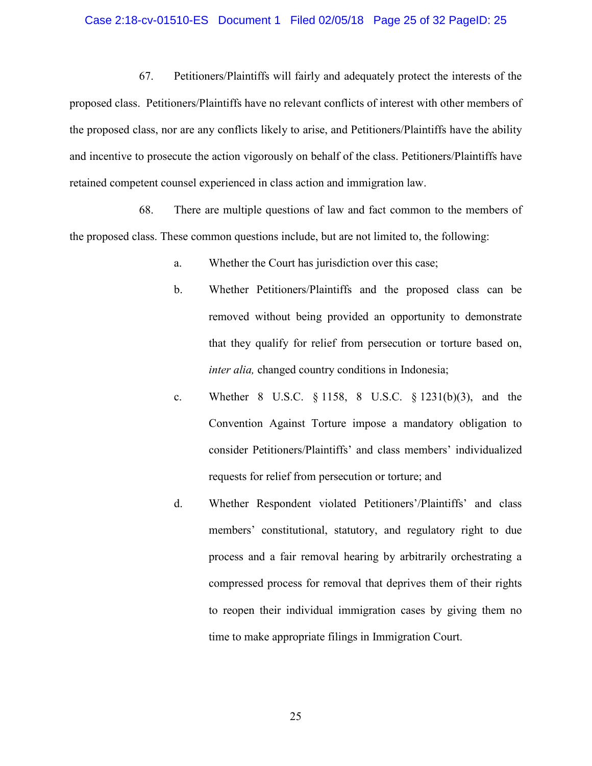### Case 2:18-cv-01510-ES Document 1 Filed 02/05/18 Page 25 of 32 PageID: 25

67. Petitioners/Plaintiffs will fairly and adequately protect the interests of the proposed class. Petitioners/Plaintiffs have no relevant conflicts of interest with other members of the proposed class, nor are any conflicts likely to arise, and Petitioners/Plaintiffs have the ability and incentive to prosecute the action vigorously on behalf of the class. Petitioners/Plaintiffs have retained competent counsel experienced in class action and immigration law.

68. There are multiple questions of law and fact common to the members of the proposed class. These common questions include, but are not limited to, the following:

- a. Whether the Court has jurisdiction over this case;
- b. Whether Petitioners/Plaintiffs and the proposed class can be removed without being provided an opportunity to demonstrate that they qualify for relief from persecution or torture based on, *inter alia,* changed country conditions in Indonesia;
- c. Whether 8 U.S.C. § 1158, 8 U.S.C. § 1231(b)(3), and the Convention Against Torture impose a mandatory obligation to consider Petitioners/Plaintiffs' and class members' individualized requests for relief from persecution or torture; and
- d. Whether Respondent violated Petitioners'/Plaintiffs' and class members' constitutional, statutory, and regulatory right to due process and a fair removal hearing by arbitrarily orchestrating a compressed process for removal that deprives them of their rights to reopen their individual immigration cases by giving them no time to make appropriate filings in Immigration Court.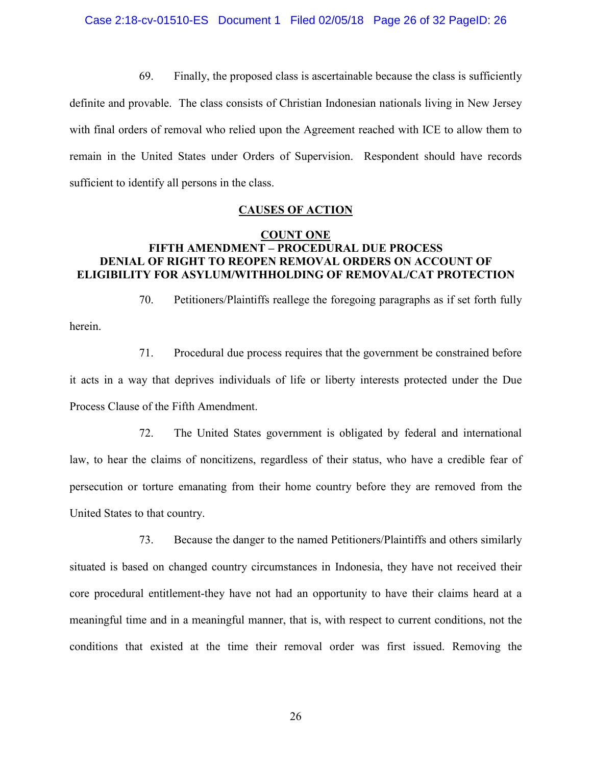69. Finally, the proposed class is ascertainable because the class is sufficiently

definite and provable. The class consists of Christian Indonesian nationals living in New Jersey with final orders of removal who relied upon the Agreement reached with ICE to allow them to remain in the United States under Orders of Supervision. Respondent should have records sufficient to identify all persons in the class.

## **CAUSES OF ACTION**

# **COUNT ONE FIFTH AMENDMENT – PROCEDURAL DUE PROCESS DENIAL OF RIGHT TO REOPEN REMOVAL ORDERS ON ACCOUNT OF ELIGIBILITY FOR ASYLUM/WITHHOLDING OF REMOVAL/CAT PROTECTION**

70. Petitioners/Plaintiffs reallege the foregoing paragraphs as if set forth fully

71. Procedural due process requires that the government be constrained before it acts in a way that deprives individuals of life or liberty interests protected under the Due Process Clause of the Fifth Amendment.

herein.

72. The United States government is obligated by federal and international law, to hear the claims of noncitizens, regardless of their status, who have a credible fear of persecution or torture emanating from their home country before they are removed from the United States to that country.

73. Because the danger to the named Petitioners/Plaintiffs and others similarly situated is based on changed country circumstances in Indonesia, they have not received their core procedural entitlement-they have not had an opportunity to have their claims heard at a meaningful time and in a meaningful manner, that is, with respect to current conditions, not the conditions that existed at the time their removal order was first issued. Removing the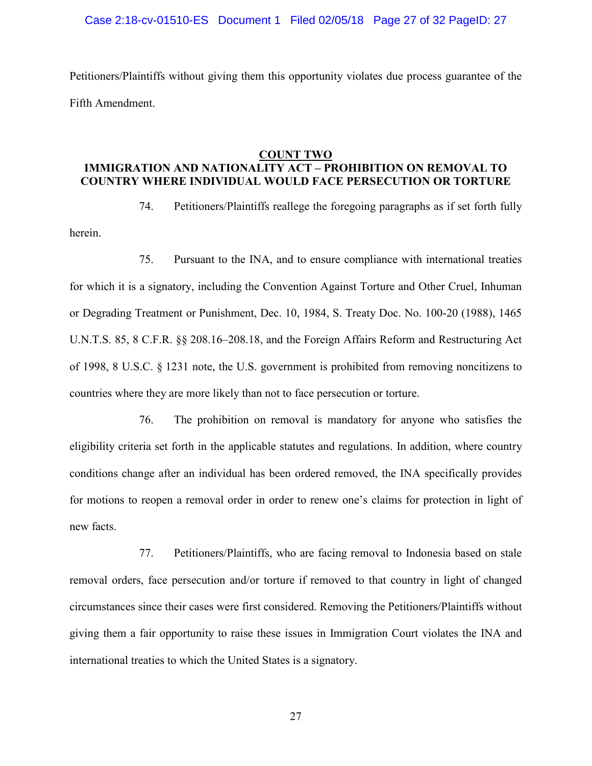### Case 2:18-cv-01510-ES Document 1 Filed 02/05/18 Page 27 of 32 PageID: 27

Petitioners/Plaintiffs without giving them this opportunity violates due process guarantee of the Fifth Amendment.

### **COUNT TWO**

# **IMMIGRATION AND NATIONALITY ACT – PROHIBITION ON REMOVAL TO COUNTRY WHERE INDIVIDUAL WOULD FACE PERSECUTION OR TORTURE**

herein.

74. Petitioners/Plaintiffs reallege the foregoing paragraphs as if set forth fully

75. Pursuant to the INA, and to ensure compliance with international treaties for which it is a signatory, including the Convention Against Torture and Other Cruel, Inhuman or Degrading Treatment or Punishment, Dec. 10, 1984, S. Treaty Doc. No. 100-20 (1988), 1465 U.N.T.S. 85, 8 C.F.R. §§ 208.16–208.18, and the Foreign Affairs Reform and Restructuring Act of 1998, 8 U.S.C. § 1231 note, the U.S. government is prohibited from removing noncitizens to countries where they are more likely than not to face persecution or torture.

76. The prohibition on removal is mandatory for anyone who satisfies the eligibility criteria set forth in the applicable statutes and regulations. In addition, where country conditions change after an individual has been ordered removed, the INA specifically provides for motions to reopen a removal order in order to renew one's claims for protection in light of new facts.

77. Petitioners/Plaintiffs, who are facing removal to Indonesia based on stale removal orders, face persecution and/or torture if removed to that country in light of changed circumstances since their cases were first considered. Removing the Petitioners/Plaintiffs without giving them a fair opportunity to raise these issues in Immigration Court violates the INA and international treaties to which the United States is a signatory.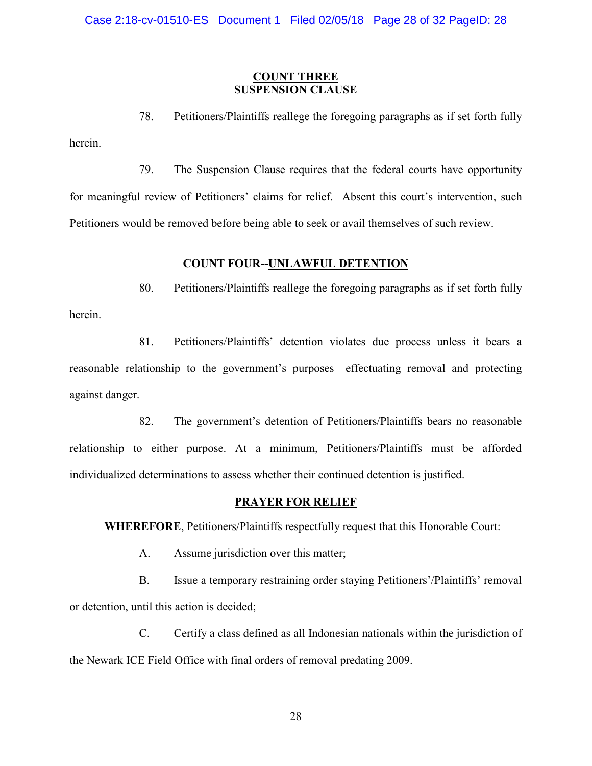## **COUNT THREE SUSPENSION CLAUSE**

78. Petitioners/Plaintiffs reallege the foregoing paragraphs as if set forth fully herein.

79. The Suspension Clause requires that the federal courts have opportunity for meaningful review of Petitioners' claims for relief. Absent this court's intervention, such Petitioners would be removed before being able to seek or avail themselves of such review.

# **COUNT FOUR--UNLAWFUL DETENTION**

80. Petitioners/Plaintiffs reallege the foregoing paragraphs as if set forth fully

81. Petitioners/Plaintiffs' detention violates due process unless it bears a reasonable relationship to the government's purposes—effectuating removal and protecting against danger.

82. The government's detention of Petitioners/Plaintiffs bears no reasonable relationship to either purpose. At a minimum, Petitioners/Plaintiffs must be afforded individualized determinations to assess whether their continued detention is justified.

## **PRAYER FOR RELIEF**

**WHEREFORE**, Petitioners/Plaintiffs respectfully request that this Honorable Court:

A. Assume jurisdiction over this matter;

herein.

B. Issue a temporary restraining order staying Petitioners'/Plaintiffs' removal or detention, until this action is decided;

C. Certify a class defined as all Indonesian nationals within the jurisdiction of the Newark ICE Field Office with final orders of removal predating 2009.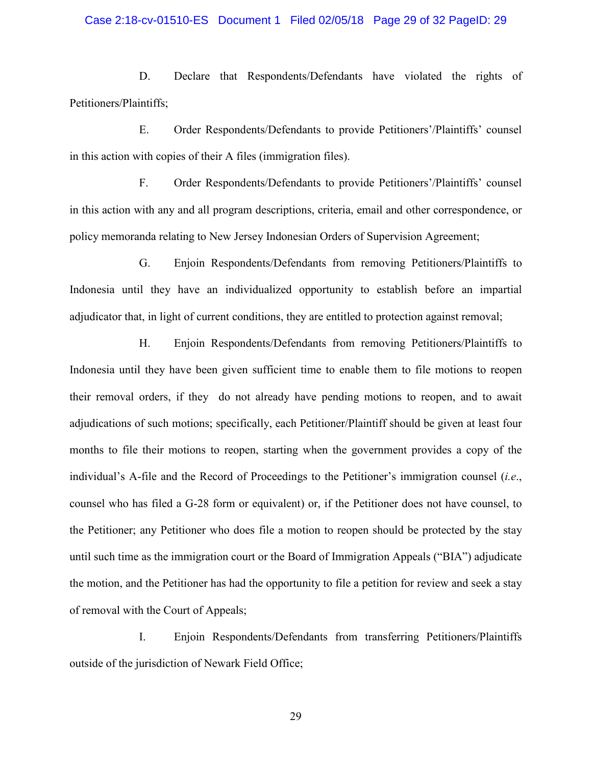### Case 2:18-cv-01510-ES Document 1 Filed 02/05/18 Page 29 of 32 PageID: 29

D. Declare that Respondents/Defendants have violated the rights of Petitioners/Plaintiffs;

E. Order Respondents/Defendants to provide Petitioners'/Plaintiffs' counsel in this action with copies of their A files (immigration files).

F. Order Respondents/Defendants to provide Petitioners'/Plaintiffs' counsel in this action with any and all program descriptions, criteria, email and other correspondence, or policy memoranda relating to New Jersey Indonesian Orders of Supervision Agreement;

G. Enjoin Respondents/Defendants from removing Petitioners/Plaintiffs to Indonesia until they have an individualized opportunity to establish before an impartial adjudicator that, in light of current conditions, they are entitled to protection against removal;

H. Enjoin Respondents/Defendants from removing Petitioners/Plaintiffs to Indonesia until they have been given sufficient time to enable them to file motions to reopen their removal orders, if they do not already have pending motions to reopen, and to await adjudications of such motions; specifically, each Petitioner/Plaintiff should be given at least four months to file their motions to reopen, starting when the government provides a copy of the individual's A-file and the Record of Proceedings to the Petitioner's immigration counsel (*i.e*., counsel who has filed a G-28 form or equivalent) or, if the Petitioner does not have counsel, to the Petitioner; any Petitioner who does file a motion to reopen should be protected by the stay until such time as the immigration court or the Board of Immigration Appeals ("BIA") adjudicate the motion, and the Petitioner has had the opportunity to file a petition for review and seek a stay of removal with the Court of Appeals;

I. Enjoin Respondents/Defendants from transferring Petitioners/Plaintiffs outside of the jurisdiction of Newark Field Office;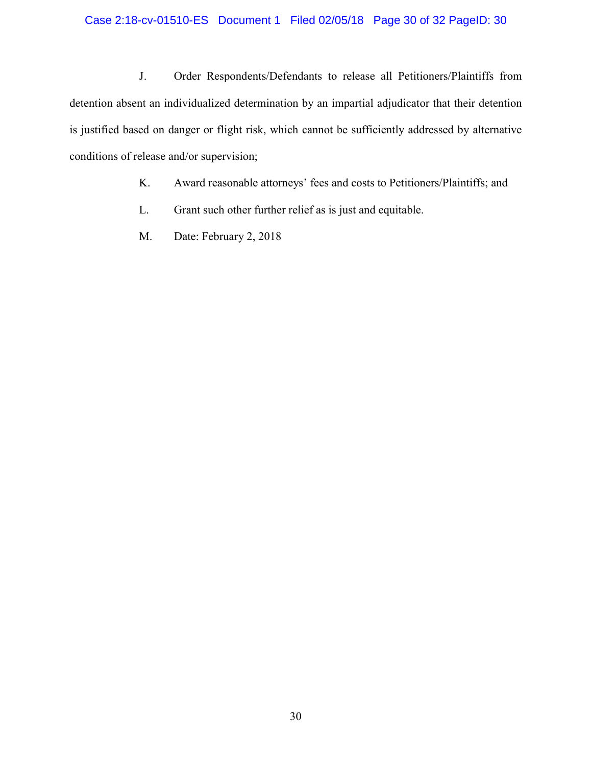# Case 2:18-cv-01510-ES Document 1 Filed 02/05/18 Page 30 of 32 PageID: 30

J. Order Respondents/Defendants to release all Petitioners/Plaintiffs from detention absent an individualized determination by an impartial adjudicator that their detention is justified based on danger or flight risk, which cannot be sufficiently addressed by alternative conditions of release and/or supervision;

- K. Award reasonable attorneys' fees and costs to Petitioners/Plaintiffs; and
- L. Grant such other further relief as is just and equitable.
- M. Date: February 2, 2018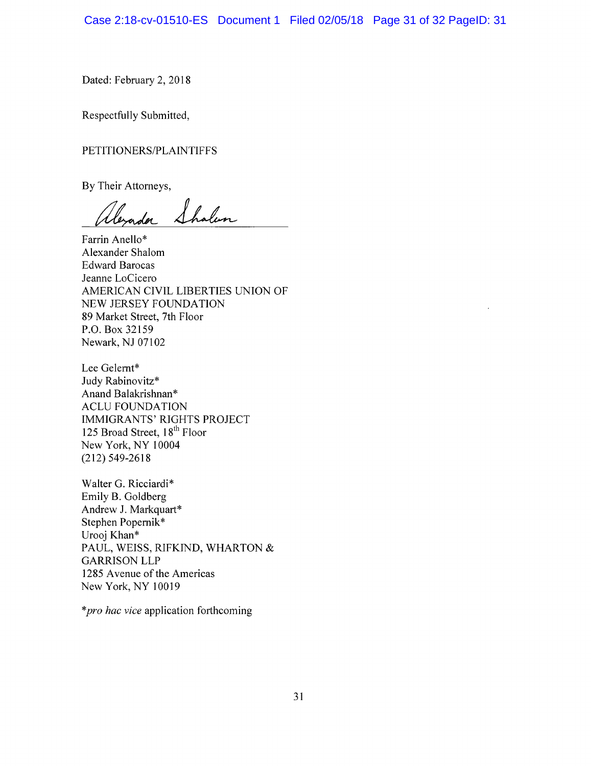Case 2:18-cv-01510-ES Document 1 Filed 02/05/18 Page 31 of 32 PageID: 31

Dated: February 2, 2018

Respectfully Submitted,

PETITIONERS/PLAINTIFFS

By Their Attorneys,

,<br>leyada Shalen

Farrin Anello\* Alexander Shalom Edward Barocas Jeanne LoCicero AMERICAN CIVIL LIBERTIES UNION OF NEW JERSEY FOUNDATION 89 Market Street, 7th Floor P.O. Box 32159 Newark, NJ 07102

Lee Gelemt\* Judy Rabinovitz\* Anand Balakrishnan\* ACLU FOUNDATION IMMIGRANTS' RIGHTS PROJECT 125 Broad Street, 18<sup>th</sup> Floor New York, NY 10004 (212)549-2618

Walter G. Ricciardi\* Emily B. Goldberg Andrew J. Markquart\* Stephen Popernik\* Urooj Khan\* PAUL, WEISS, RIFKIND, WHARTON & GARRISON LLP 1285 Avenue of the Americas New York, NY 10019

*\*pro hac vice* application forthcoming